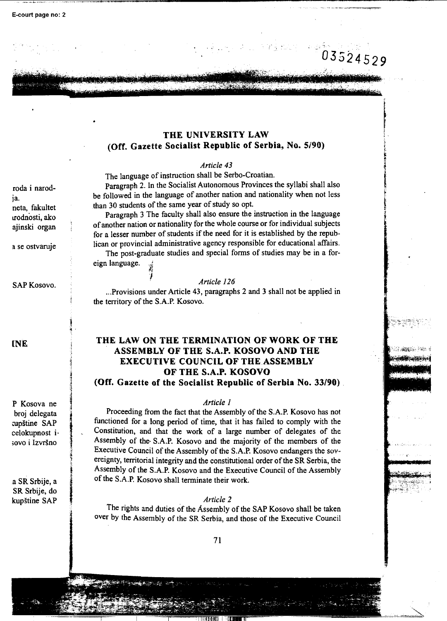## **THE UNIVERSITY LAW (Off. Gazette Socialist Republic of Serbia, No. 5/90)**

~. t "'· ,.~ •• ,.., ' • •• •• : • ~ ~ ' .~ ~ ., •

#### *Article 43*

The language of instruction shall be Serbo-Croatian.

Paragraph 2. In the Socialist Autonomous Provinces the syllabi shall also be followed in the language of another nation and nationality when not less than 30 students of the same year of study so opt.

Paragraph 3 The faculty shall also ensure the instruction in the language of another nation or nationality for the whole course or for individual subjects for a lesser number of students if the need for it is established by the republican or provincial administrative agency responsible for educational affairs.

The post-graduate studies and special forms of studies may be in a foreign language.  $\frac{1}{2}$ 

### I *Article 126*

...Provisions under Article 43, paragraphs 2 and 3 shall not be applied in the territory of the S.A.P. Kosovo.

# **THE LAW ON THE TERMINATION OF WORK OF THE ASSEMBLY OF THE S.A.P. KOSOVO AND THE EXECUTIVE COUNCIL OF THE ASSEMBLY OF THE S.A.P. KOSOVO**

**(Off. Gazette of the Socialist Republic of Serbia No. 33/90)** .

## *Article 1*

' I ,4 I Proceeding from the fact that the Assembly of the S.A.P. Kosovo has not functioned for a long period of time, that it has failed to comply with the Constitution, and that the work of a large number of delegates of the Assembly of the· S.A.P. Kosovo and the majority of the members of the Executive Council of the Assembly of the S.A.P. Kosovo endangers the sovereignty, territorial integrity and the constitutional order of the SR Serbia, the Assembly of the S.A.P. Kosovo and the Executive Council of the Assembly of the S.A.P. Kosovo shall terminate their work.

#### *Article 2*

The rights and duties of the Assembly of the SAP Kosovo shall be taken over by the Assembly of the SR Serbia, and those of the Executive Council

roda i narodja. neta, fakultet urodnosti, ako ajinski organ

a se ostvaruje

SAP Kosovo.

l<br>L •

; supro<br>. '1 ij '.! i<br>Lista provincia<br>Lista provincia

ij l

"

**lNE** 

P Kosova ne broj delegata cupštine SAP celokupnost i · ;ovo i Izvrsno

a SR Srbije, a SR Srbije, do kupstine SAP

..

minano. There **Addressing Company**